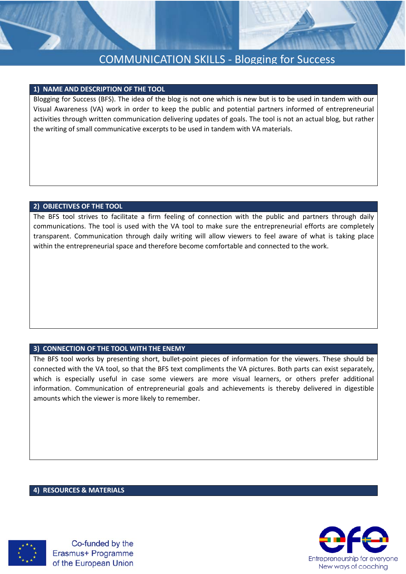

# COMMUNICATION SKILLS - Blogging for Success

### **1) NAME AND DESCRIPTION OF THE TOOL**

Blogging for Success (BFS). The idea of the blog is not one which is new but is to be used in tandem with our Visual Awareness (VA) work in order to keep the public and potential partners informed of entrepreneurial activities through written communication delivering updates of goals. The tool is not an actual blog, but rather the writing of small communicative excerpts to be used in tandem with VA materials.

### **2) OBJECTIVES OF THE TOOL**

The BFS tool strives to facilitate a firm feeling of connection with the public and partners through daily communications. The tool is used with the VA tool to make sure the entrepreneurial efforts are completely transparent. Communication through daily writing will allow viewers to feel aware of what is taking place within the entrepreneurial space and therefore become comfortable and connected to the work.

## **3) CONNECTION OF THE TOOL WITH THE ENEMY**

The BFS tool works by presenting short, bullet-point pieces of information for the viewers. These should be connected with the VA tool, so that the BFS text compliments the VA pictures. Both parts can exist separately, which is especially useful in case some viewers are more visual learners, or others prefer additional information. Communication of entrepreneurial goals and achievements is thereby delivered in digestible amounts which the viewer is more likely to remember.

#### **4) RESOURCES & MATERIALS**



Co-funded by the Erasmus+ Programme of the European Union

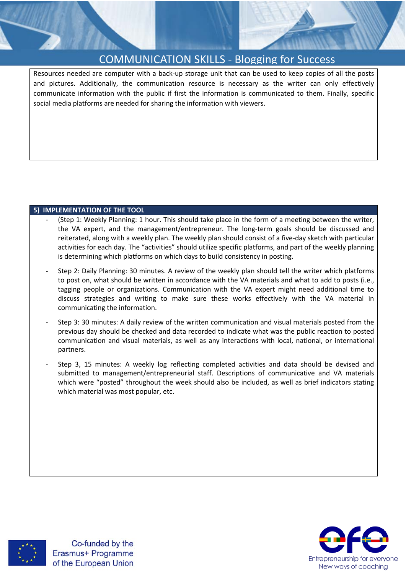



Resources needed are computer with a back-up storage unit that can be used to keep copies of all the posts and pictures. Additionally, the communication resource is necessary as the writer can only effectively communicate information with the public if first the information is communicated to them. Finally, specific social media platforms are needed for sharing the information with viewers.

## **5) IMPLEMENTATION OF THE TOOL**

- (Step 1: Weekly Planning: 1 hour. This should take place in the form of a meeting between the writer, the VA expert, and the management/entrepreneur. The long-term goals should be discussed and reiterated, along with a weekly plan. The weekly plan should consist of a five-day sketch with particular activities for each day. The "activities" should utilize specific platforms, and part of the weekly planning is determining which platforms on which days to build consistency in posting.
- Step 2: Daily Planning: 30 minutes. A review of the weekly plan should tell the writer which platforms to post on, what should be written in accordance with the VA materials and what to add to posts (i.e., tagging people or organizations. Communication with the VA expert might need additional time to discuss strategies and writing to make sure these works effectively with the VA material in communicating the information.
- Step 3: 30 minutes: A daily review of the written communication and visual materials posted from the previous day should be checked and data recorded to indicate what was the public reaction to posted communication and visual materials, as well as any interactions with local, national, or international partners.
- Step 3, 15 minutes: A weekly log reflecting completed activities and data should be devised and submitted to management/entrepreneurial staff. Descriptions of communicative and VA materials which were "posted" throughout the week should also be included, as well as brief indicators stating which material was most popular, etc.



Co-funded by the Erasmus+ Programme of the European Union